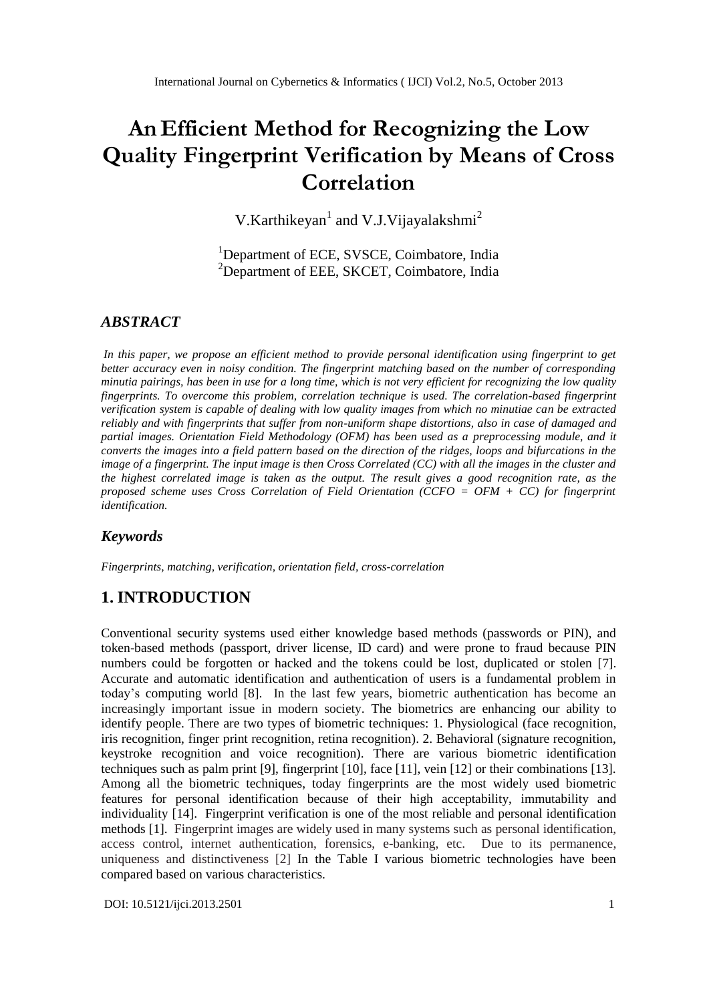# **AnEfficient Method for Recognizing the Low Quality Fingerprint Verification by Means of Cross Correlation**

V.Karthikeyan<sup>1</sup> and V.J.Vijayalakshmi<sup>2</sup>

<sup>1</sup>Department of ECE, SVSCE, Coimbatore, India <sup>2</sup>Department of EEE, SKCET, Coimbatore, India

### *ABSTRACT*

*In this paper, we propose an efficient method to provide personal identification using fingerprint to get better accuracy even in noisy condition. The fingerprint matching based on the number of corresponding minutia pairings, has been in use for a long time, which is not very efficient for recognizing the low quality fingerprints. To overcome this problem, correlation technique is used. The correlation-based fingerprint verification system is capable of dealing with low quality images from which no minutiae can be extracted reliably and with fingerprints that suffer from non-uniform shape distortions, also in case of damaged and partial images. Orientation Field Methodology (OFM) has been used as a preprocessing module, and it converts the images into a field pattern based on the direction of the ridges, loops and bifurcations in the image of a fingerprint. The input image is then Cross Correlated (CC) with all the images in the cluster and the highest correlated image is taken as the output. The result gives a good recognition rate, as the proposed scheme uses Cross Correlation of Field Orientation (CCFO = OFM + CC) for fingerprint identification.*

### *Keywords*

*Fingerprints, matching, verification, orientation field, cross-correlation*

## **1. INTRODUCTION**

Conventional security systems used either knowledge based methods (passwords or PIN), and token-based methods (passport, driver license, ID card) and were prone to fraud because PIN numbers could be forgotten or hacked and the tokens could be lost, duplicated or stolen [7]. Accurate and automatic identification and authentication of users is a fundamental problem in today's computing world [8]. In the last few years, biometric authentication has become an increasingly important issue in modern society. The biometrics are enhancing our ability to identify people. There are two types of biometric techniques: 1. Physiological (face recognition, iris recognition, finger print recognition, retina recognition). 2. Behavioral (signature recognition, keystroke recognition and voice recognition). There are various biometric identification techniques such as palm print [9], fingerprint [10], face [11], vein [12] or their combinations [13]. Among all the biometric techniques, today fingerprints are the most widely used biometric features for personal identification because of their high acceptability, immutability and individuality [14]. Fingerprint verification is one of the most reliable and personal identification methods [1]. Fingerprint images are widely used in many systems such as personal identification, access control, internet authentication, forensics, e-banking, etc. Due to its permanence, uniqueness and distinctiveness [2] In the Table I various biometric technologies have been compared based on various characteristics.

DOI: 10.5121/ijci.2013.2501 1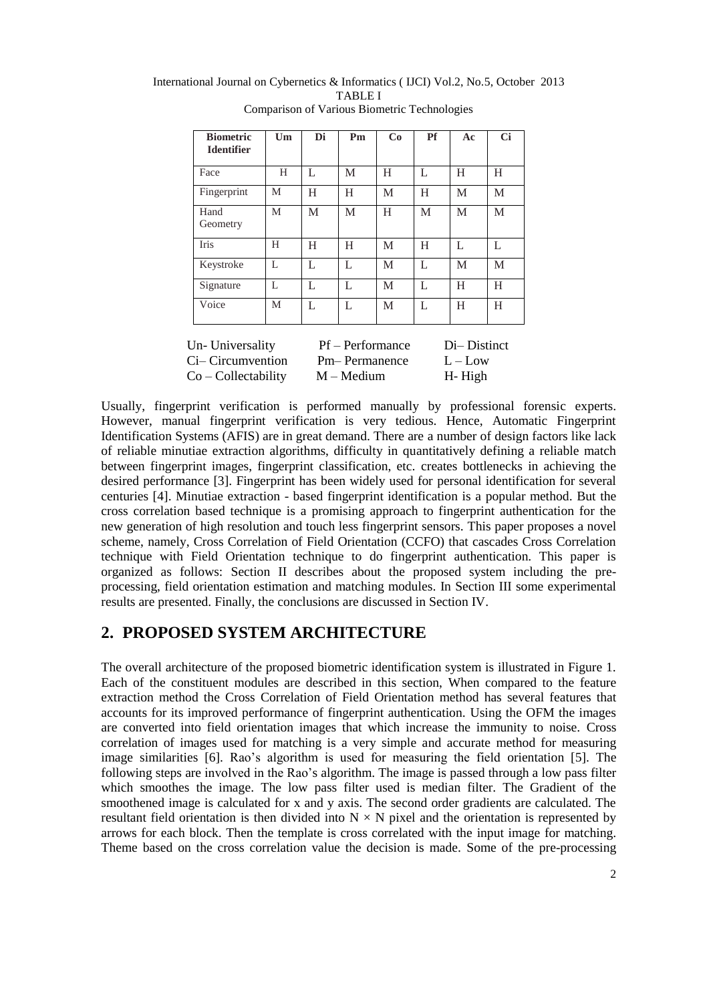| <b>Biometric</b><br><b>Identifier</b> | Um | Di | Pm | Co | <b>Pf</b> | Ac | <b>Ci</b> |
|---------------------------------------|----|----|----|----|-----------|----|-----------|
|                                       |    |    |    |    |           |    |           |
| Face                                  | H  | L  | M  | H  | L         | H  | H         |
| Fingerprint                           | M  | H  | H  | M  | H         | M  | M         |
| Hand<br>Geometry                      | M  | M  | M  | H  | M         | M  | M         |
| <b>Iris</b>                           | H  | H  | H  | M  | H         | L  | L         |
| Keystroke                             | L  | L  | L  | M  | L         | M  | M         |
| Signature                             | L  | L  | L  | M  | L         | H  | H         |
| Voice                                 | M  | L  | L  | M  | L         | H  | H         |

International Journal on Cybernetics & Informatics ( IJCI) Vol.2, No.5, October 2013 TABLE I Comparison of Various Biometric Technologies

| Un- Universality      | Pf – Performance | Di-Distinct |
|-----------------------|------------------|-------------|
| Ci– Circumvention     | Pm-Permanence    | $L - Low$   |
| $Co - Collectability$ | $M - Medium$     | H-High      |

Usually, fingerprint verification is performed manually by professional forensic experts. However, manual fingerprint verification is very tedious. Hence, Automatic Fingerprint Identification Systems (AFIS) are in great demand. There are a number of design factors like lack of reliable minutiae extraction algorithms, difficulty in quantitatively defining a reliable match between fingerprint images, fingerprint classification, etc. creates bottlenecks in achieving the desired performance [3]. Fingerprint has been widely used for personal identification for several centuries [4]. Minutiae extraction - based fingerprint identification is a popular method. But the cross correlation based technique is a promising approach to fingerprint authentication for the new generation of high resolution and touch less fingerprint sensors. This paper proposes a novel scheme, namely, Cross Correlation of Field Orientation (CCFO) that cascades Cross Correlation technique with Field Orientation technique to do fingerprint authentication. This paper is organized as follows: Section II describes about the proposed system including the preprocessing, field orientation estimation and matching modules. In Section III some experimental results are presented. Finally, the conclusions are discussed in Section IV.

## **2. PROPOSED SYSTEM ARCHITECTURE**

The overall architecture of the proposed biometric identification system is illustrated in Figure 1. Each of the constituent modules are described in this section, When compared to the feature extraction method the Cross Correlation of Field Orientation method has several features that accounts for its improved performance of fingerprint authentication. Using the OFM the images are converted into field orientation images that which increase the immunity to noise. Cross correlation of images used for matching is a very simple and accurate method for measuring image similarities [6]. Rao's algorithm is used for measuring the field orientation [5]. The following steps are involved in the Rao's algorithm. The image is passed through a low pass filter which smoothes the image. The low pass filter used is median filter. The Gradient of the smoothened image is calculated for x and y axis. The second order gradients are calculated. The resultant field orientation is then divided into  $N \times N$  pixel and the orientation is represented by arrows for each block. Then the template is cross correlated with the input image for matching. Theme based on the cross correlation value the decision is made. Some of the pre-processing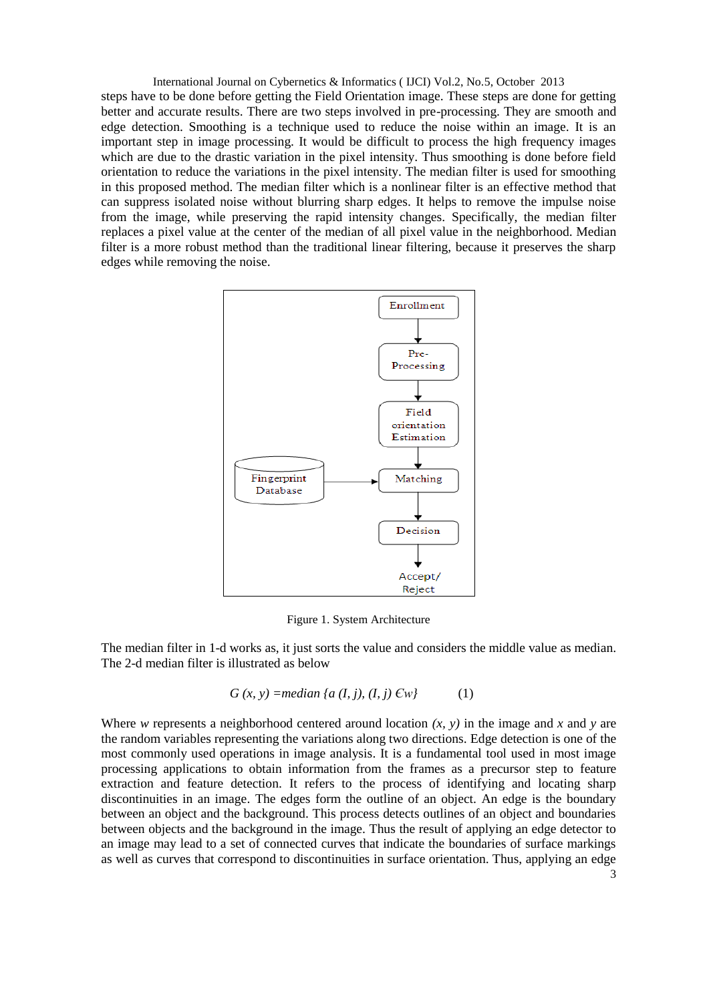International Journal on Cybernetics & Informatics ( IJCI) Vol.2, No.5, October 2013 steps have to be done before getting the Field Orientation image. These steps are done for getting better and accurate results. There are two steps involved in pre-processing. They are smooth and edge detection. Smoothing is a technique used to reduce the noise within an image. It is an important step in image processing. It would be difficult to process the high frequency images which are due to the drastic variation in the pixel intensity. Thus smoothing is done before field orientation to reduce the variations in the pixel intensity. The median filter is used for smoothing in this proposed method. The median filter which is a nonlinear filter is an effective method that can suppress isolated noise without blurring sharp edges. It helps to remove the impulse noise from the image, while preserving the rapid intensity changes. Specifically, the median filter replaces a pixel value at the center of the median of all pixel value in the neighborhood. Median filter is a more robust method than the traditional linear filtering, because it preserves the sharp edges while removing the noise.



Figure 1. System Architecture

The median filter in 1-d works as, it just sorts the value and considers the middle value as median. The 2-d median filter is illustrated as below

$$
G(x, y) = median \{a(I, j), (I, j) \in w\}
$$
 (1)

3 Where *w* represents a neighborhood centered around location  $(x, y)$  in the image and *x* and *y* are the random variables representing the variations along two directions. Edge detection is one of the most commonly used operations in image analysis. It is a fundamental tool used in most image processing applications to obtain information from the frames as a precursor step to feature extraction and feature detection. It refers to the process of identifying and locating sharp discontinuities in an image. The edges form the outline of an object. An edge is the boundary between an object and the background. This process detects outlines of an object and boundaries between objects and the background in the image. Thus the result of applying an edge detector to an image may lead to a set of connected curves that indicate the boundaries of surface markings as well as curves that correspond to discontinuities in surface orientation. Thus, applying an edge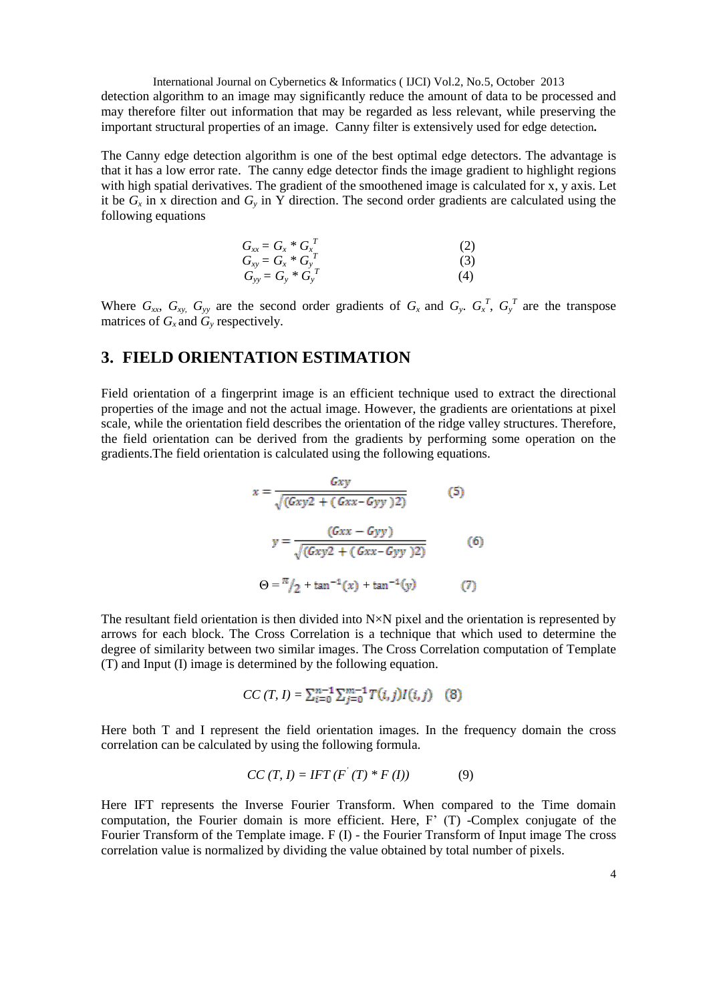International Journal on Cybernetics & Informatics ( IJCI) Vol.2, No.5, October 2013 detection algorithm to an image may significantly reduce the amount of data to be processed and may therefore filter out information that may be regarded as less relevant, while preserving the important structural properties of an image. Canny filter is extensively used for edge detection**.**

The Canny edge detection algorithm is one of the best optimal edge detectors. The advantage is that it has a low error rate. The canny edge detector finds the image gradient to highlight regions with high spatial derivatives. The gradient of the smoothened image is calculated for x, y axis. Let it be  $G_x$  in x direction and  $G_y$  in Y direction. The second order gradients are calculated using the following equations

$$
G_{xx} = G_x * G_x^T
$$
  
\n
$$
G_{xy} = G_x * G_y^T
$$
  
\n
$$
G_{yy} = G_y * G_y^T
$$
  
\n(3)  
\n(4)

Where  $G_x$ ,  $G_y$ ,  $G_y$  are the second order gradients of  $G_x$  and  $G_y$ .  $G_x^T$ ,  $G_y^T$  are the transpose matrices of  $G_x$  and  $G_y$  respectively.

### **3. FIELD ORIENTATION ESTIMATION**

Field orientation of a fingerprint image is an efficient technique used to extract the directional properties of the image and not the actual image. However, the gradients are orientations at pixel scale, while the orientation field describes the orientation of the ridge valley structures. Therefore, the field orientation can be derived from the gradients by performing some operation on the gradients.The field orientation is calculated using the following equations.

$$
x = \frac{Gxy}{\sqrt{(Gxy^2 + (Gxx - Gyy))^2)}}
$$
(5)  

$$
y = \frac{(Gxx - Gyy)}{\sqrt{(Gxy^2 + (Gxx - Gyy))^2)}}
$$
(6)  

$$
\Theta = \frac{\pi}{2} + \tan^{-1}(x) + \tan^{-1}(y)
$$
(7)

The resultant field orientation is then divided into N $\times$ N pixel and the orientation is represented by arrows for each block. The Cross Correlation is a technique that which used to determine the degree of similarity between two similar images. The Cross Correlation computation of Template (T) and Input (I) image is determined by the following equation.

$$
CC(T, I) = \sum_{i=0}^{n-1} \sum_{j=0}^{m-1} T(i, j) I(i, j) \quad (8)
$$

Here both T and I represent the field orientation images. In the frequency domain the cross correlation can be calculated by using the following formula.

$$
CC (T, I) = IFT (F^{'}(T) * F (I))
$$
 (9)

Here IFT represents the Inverse Fourier Transform. When compared to the Time domain computation, the Fourier domain is more efficient. Here, F' (T) -Complex conjugate of the Fourier Transform of the Template image. F (I) - the Fourier Transform of Input image The cross correlation value is normalized by dividing the value obtained by total number of pixels.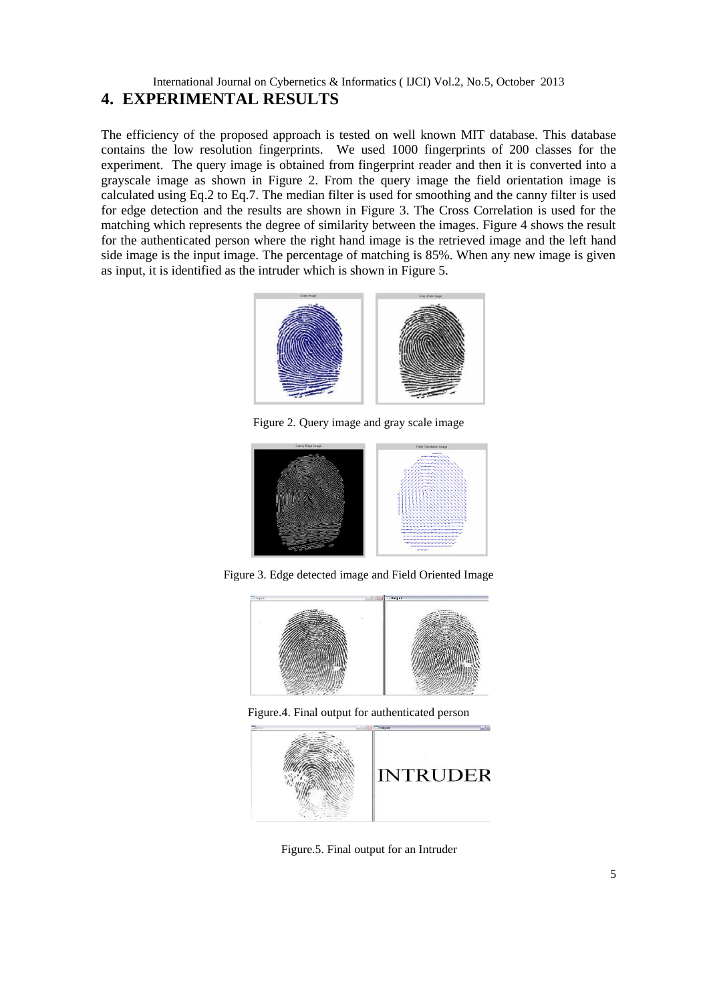## International Journal on Cybernetics & Informatics ( IJCI) Vol.2, No.5, October 2013

### **4. EXPERIMENTAL RESULTS**

The efficiency of the proposed approach is tested on well known MIT database. This database contains the low resolution fingerprints. We used 1000 fingerprints of 200 classes for the experiment. The query image is obtained from fingerprint reader and then it is converted into a grayscale image as shown in Figure 2. From the query image the field orientation image is calculated using Eq.2 to Eq.7. The median filter is used for smoothing and the canny filter is used for edge detection and the results are shown in Figure 3. The Cross Correlation is used for the matching which represents the degree of similarity between the images. Figure 4 shows the result for the authenticated person where the right hand image is the retrieved image and the left hand side image is the input image. The percentage of matching is 85%. When any new image is given as input, it is identified as the intruder which is shown in Figure 5.



Figure 2. Query image and gray scale image



Figure 3. Edge detected image and Field Oriented Image







Figure.5. Final output for an Intruder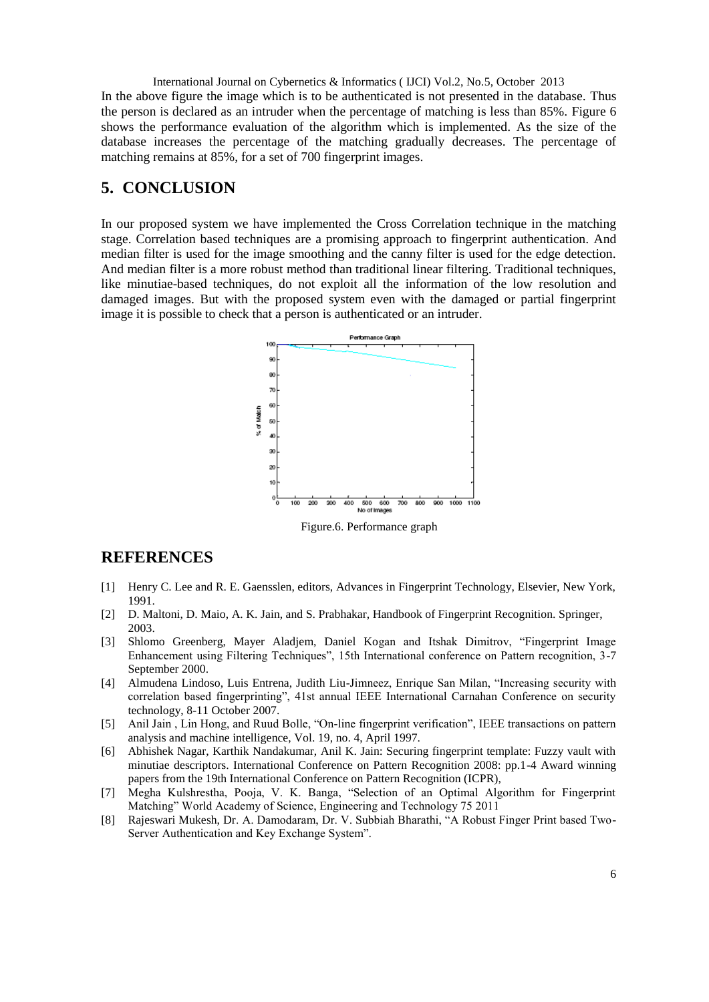International Journal on Cybernetics & Informatics ( IJCI) Vol.2, No.5, October 2013 In the above figure the image which is to be authenticated is not presented in the database. Thus the person is declared as an intruder when the percentage of matching is less than 85%. Figure 6 shows the performance evaluation of the algorithm which is implemented. As the size of the database increases the percentage of the matching gradually decreases. The percentage of matching remains at 85%, for a set of 700 fingerprint images.

### **5. CONCLUSION**

In our proposed system we have implemented the Cross Correlation technique in the matching stage. Correlation based techniques are a promising approach to fingerprint authentication. And median filter is used for the image smoothing and the canny filter is used for the edge detection. And median filter is a more robust method than traditional linear filtering. Traditional techniques, like minutiae-based techniques, do not exploit all the information of the low resolution and damaged images. But with the proposed system even with the damaged or partial fingerprint image it is possible to check that a person is authenticated or an intruder.



Figure.6. Performance graph

### **REFERENCES**

- [1] Henry C. Lee and R. E. Gaensslen, editors, Advances in Fingerprint Technology, Elsevier, New York, 1991.
- [2] D. Maltoni, D. Maio, A. K. Jain, and S. Prabhakar, Handbook of Fingerprint Recognition. Springer, 2003.
- [3] Shlomo Greenberg, Mayer Aladjem, Daniel Kogan and Itshak Dimitrov, "Fingerprint Image Enhancement using Filtering Techniques", 15th International conference on Pattern recognition, 3-7 September 2000.
- [4] Almudena Lindoso, Luis Entrena, Judith Liu-Jimneez, Enrique San Milan, "Increasing security with correlation based fingerprinting", 41st annual IEEE International Carnahan Conference on security technology, 8-11 October 2007.
- [5] Anil Jain , Lin Hong, and Ruud Bolle, "On-line fingerprint verification", IEEE transactions on pattern analysis and machine intelligence, Vol. 19, no. 4, April 1997.
- [6] Abhishek Nagar, Karthik Nandakumar, Anil K. Jain: Securing fingerprint template: Fuzzy vault with minutiae descriptors. International Conference on Pattern Recognition 2008: pp.1-4 Award winning papers from the 19th International Conference on Pattern Recognition (ICPR),
- [7] Megha Kulshrestha, Pooja, V. K. Banga, "Selection of an Optimal Algorithm for Fingerprint Matching" World Academy of Science, Engineering and Technology 75 2011
- [8] Rajeswari Mukesh, Dr. A. Damodaram, Dr. V. Subbiah Bharathi, "A Robust Finger Print based Two-Server Authentication and Key Exchange System".